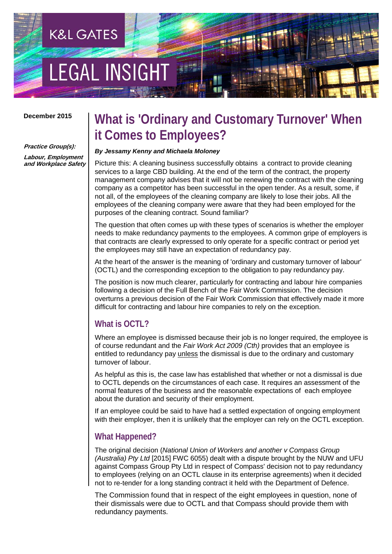# **LEGAL INSIGH**

**K&L GATES** 

#### **December 2015**

#### **Practice Group(s):**

**Labour, Employment and Workplace Safety**

# **What is 'Ordinary and Customary Turnover' When it Comes to Employees?**

#### *By Jessamy Kenny and Michaela Moloney*

Picture this: A cleaning business successfully obtains a contract to provide cleaning services to a large CBD building. At the end of the term of the contract, the property management company advises that it will not be renewing the contract with the cleaning company as a competitor has been successful in the open tender. As a result, some, if not all, of the employees of the cleaning company are likely to lose their jobs. All the employees of the cleaning company were aware that they had been employed for the purposes of the cleaning contract. Sound familiar?

The question that often comes up with these types of scenarios is whether the employer needs to make redundancy payments to the employees. A common gripe of employers is that contracts are clearly expressed to only operate for a specific contract or period yet the employees may still have an expectation of redundancy pay.

At the heart of the answer is the meaning of 'ordinary and customary turnover of labour' (OCTL) and the corresponding exception to the obligation to pay redundancy pay.

The position is now much clearer, particularly for contracting and labour hire companies following a decision of the Full Bench of the Fair Work Commission. The decision overturns a previous decision of the Fair Work Commission that effectively made it more difficult for contracting and labour hire companies to rely on the exception.

## **What is OCTL?**

Where an employee is dismissed because their job is no longer required, the employee is of course redundant and the *Fair Work Act 2009 (Cth)* provides that an employee is entitled to redundancy pay unless the dismissal is due to the ordinary and customary turnover of labour.

As helpful as this is, the case law has established that whether or not a dismissal is due to OCTL depends on the circumstances of each case. It requires an assessment of the normal features of the business and the reasonable expectations of each employee about the duration and security of their employment.

If an employee could be said to have had a settled expectation of ongoing employment with their employer, then it is unlikely that the employer can rely on the OCTL exception.

## **What Happened?**

The original decision (*National Union of Workers and another v Compass Group (Australia) Pty Ltd* [2015] FWC 6055) dealt with a dispute brought by the NUW and UFU against Compass Group Pty Ltd in respect of Compass' decision not to pay redundancy to employees (relying on an OCTL clause in its enterprise agreements) when it decided not to re-tender for a long standing contract it held with the Department of Defence.

The Commission found that in respect of the eight employees in question, none of their dismissals were due to OCTL and that Compass should provide them with redundancy payments.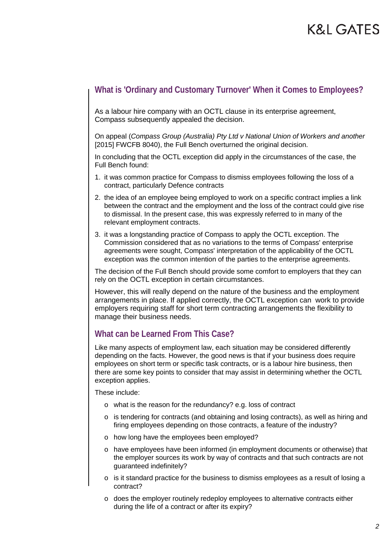## **What is 'Ordinary and Customary Turnover' When it Comes to Employees?**

As a labour hire company with an OCTL clause in its enterprise agreement, Compass subsequently appealed the decision.

On appeal (*Compass Group (Australia) Pty Ltd v National Union of Workers and another*  [2015] FWCFB 8040), the Full Bench overturned the original decision.

In concluding that the OCTL exception did apply in the circumstances of the case, the Full Bench found:

- 1. it was common practice for Compass to dismiss employees following the loss of a contract, particularly Defence contracts
- 2. the idea of an employee being employed to work on a specific contract implies a link between the contract and the employment and the loss of the contract could give rise to dismissal. In the present case, this was expressly referred to in many of the relevant employment contracts.
- 3. it was a longstanding practice of Compass to apply the OCTL exception. The Commission considered that as no variations to the terms of Compass' enterprise agreements were sought, Compass' interpretation of the applicability of the OCTL exception was the common intention of the parties to the enterprise agreements.

The decision of the Full Bench should provide some comfort to employers that they can rely on the OCTL exception in certain circumstances.

However, this will really depend on the nature of the business and the employment arrangements in place. If applied correctly, the OCTL exception can work to provide employers requiring staff for short term contracting arrangements the flexibility to manage their business needs.

## **What can be Learned From This Case?**

Like many aspects of employment law, each situation may be considered differently depending on the facts. However, the good news is that if your business does require employees on short term or specific task contracts, or is a labour hire business, then there are some key points to consider that may assist in determining whether the OCTL exception applies.

These include:

- o what is the reason for the redundancy? e.g. loss of contract
- $\circ$  is tendering for contracts (and obtaining and losing contracts), as well as hiring and firing employees depending on those contracts, a feature of the industry?
- o how long have the employees been employed?
- o have employees have been informed (in employment documents or otherwise) that the employer sources its work by way of contracts and that such contracts are not guaranteed indefinitely?
- o is it standard practice for the business to dismiss employees as a result of losing a contract?
- o does the employer routinely redeploy employees to alternative contracts either during the life of a contract or after its expiry?